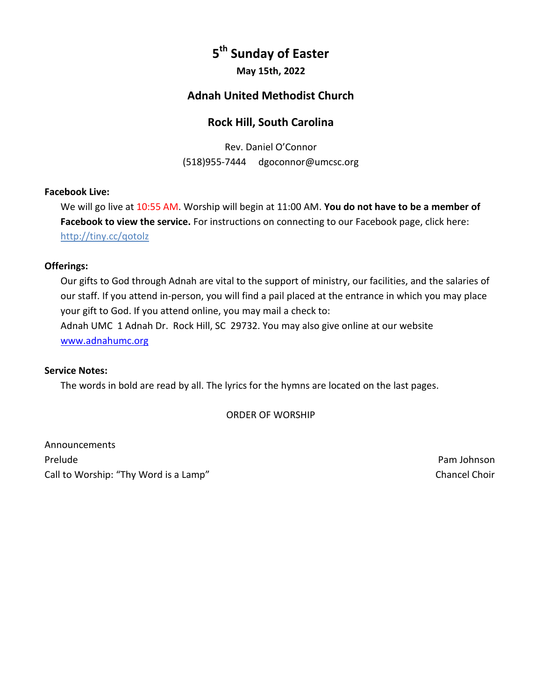# **5 th Sunday of Easter**

**May 15th, 2022**

# **Adnah United Methodist Church**

# **Rock Hill, South Carolina**

Rev. Daniel O'Connor (518)955-7444 dgoconnor@umcsc.org

## **Facebook Live:**

We will go live at 10:55 AM. Worship will begin at 11:00 AM. **You do not have to be a member of Facebook to view the service.** For instructions on connecting to our Facebook page, click here: <http://tiny.cc/qotolz>

## **Offerings:**

Our gifts to God through Adnah are vital to the support of ministry, our facilities, and the salaries of our staff. If you attend in-person, you will find a pail placed at the entrance in which you may place your gift to God. If you attend online, you may mail a check to: Adnah UMC 1 Adnah Dr. Rock Hill, SC 29732. You may also give online at our website [www.adnahumc.org](file:///C:/Users/ddmcm/Documents/Churches/Adnah%20UMC/COVID19/Online%20Worship/www.adnahumc.org)

#### **Service Notes:**

The words in bold are read by all. The lyrics for the hymns are located on the last pages.

ORDER OF WORSHIP

Announcements Prelude **Pam Johnson** Call to Worship: "Thy Word is a Lamp" Chancel Choir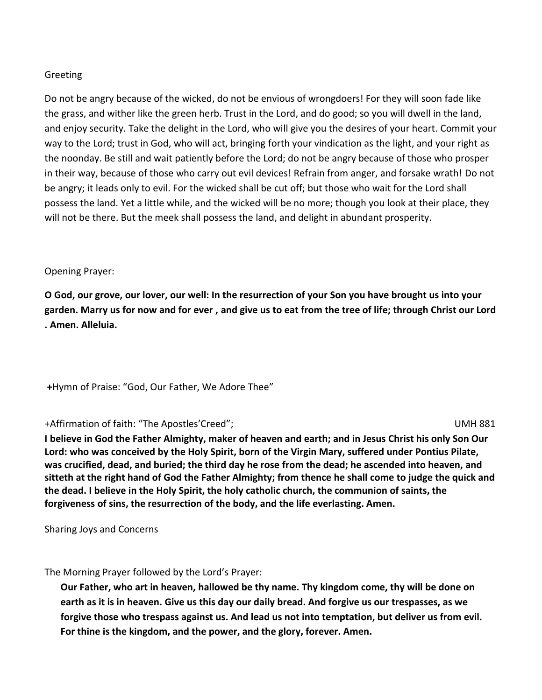## Greeting

Do not be angry because of the wicked, do not be envious of wrongdoers! For they will soon fade like the grass, and wither like the green herb. Trust in the Lord, and do good; so you will dwell in the land, and enjoy security. Take the delight in the Lord, who will give you the desires of your heart. Commit your way to the Lord; trust in God, who will act, bringing forth your vindication as the light, and your right as the noonday. Be still and wait patiently before the Lord; do not be angry because of those who prosper in their way, because of those who carry out evil devices! Refrain from anger, and forsake wrath! Do not be angry; it leads only to evil. For the wicked shall be cut off; but those who wait for the Lord shall possess the land. Yet a little while, and the wicked will be no more; though you look at their place, they will not be there. But the meek shall possess the land, and delight in abundant prosperity.

#### Opening Prayer:

**O God, our grove, our lover, our well: In the resurrection of your Son you have brought us into your garden. Marry us for now and for ever , and give us to eat from the tree of life; through Christ our Lord . Amen. Alleluia.**

**+**Hymn of Praise: "God, Our Father, We Adore Thee"

#### +Affirmation of faith: "The Apostles'Creed"; UMH 881

**I believe in God the Father Almighty, maker of heaven and earth; and in Jesus Christ his only Son Our Lord: who was conceived by the Holy Spirit, born of the Virgin Mary, suffered under Pontius Pilate, was crucified, dead, and buried; the third day he rose from the dead; he ascended into heaven, and sitteth at the right hand of God the Father Almighty; from thence he shall come to judge the quick and the dead. I believe in the Holy Spirit, the holy catholic church, the communion of saints, the forgiveness of sins, the resurrection of the body, and the life everlasting. Amen.**

Sharing Joys and Concerns

The Morning Prayer followed by the Lord's Prayer:

**Our Father, who art in heaven, hallowed be thy name. Thy kingdom come, thy will be done on earth as it is in heaven. Give us this day our daily bread. And forgive us our trespasses, as we forgive those who trespass against us. And lead us not into temptation, but deliver us from evil. For thine is the kingdom, and the power, and the glory, forever. Amen.**